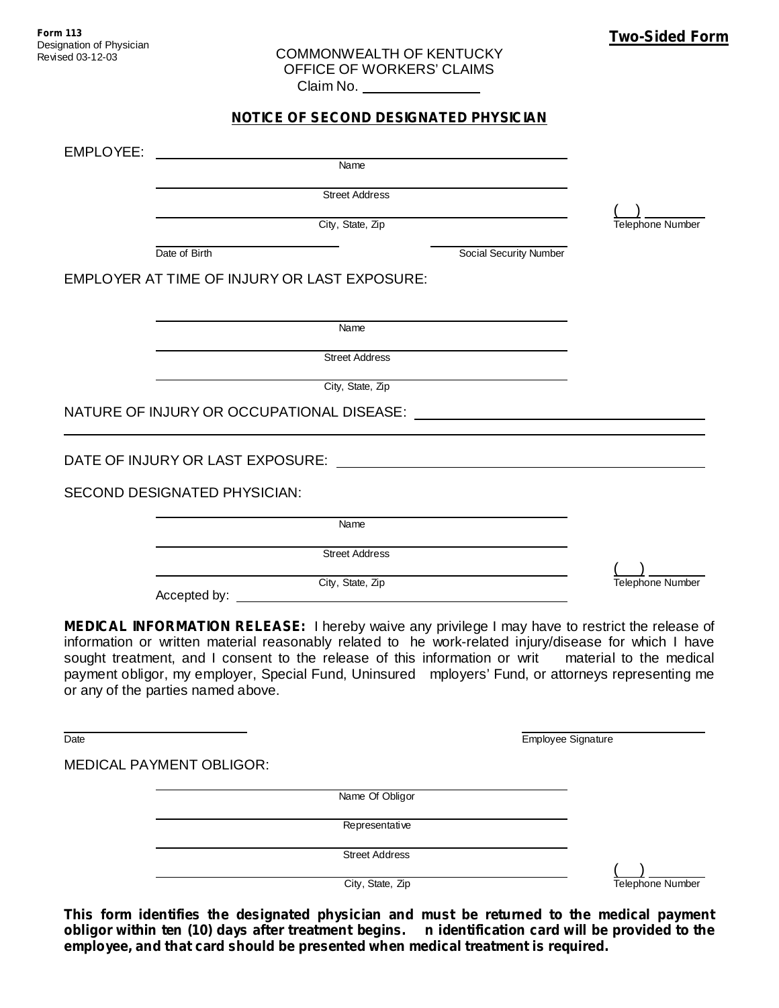## COMMONWEALTH OF KENTUCKY OFFICE OF WORKERS' CLAIMS Claim No.

## **NOTICE OF SECOND DESIGNATED PHYSICIAN**

| EMPLOYEE: |                                              |                               |                  |
|-----------|----------------------------------------------|-------------------------------|------------------|
|           | Name                                         |                               |                  |
|           | <b>Street Address</b>                        |                               |                  |
|           | City, State, Zip                             |                               | Telephone Number |
|           | Date of Birth                                | <b>Social Security Number</b> |                  |
|           | EMPLOYER AT TIME OF INJURY OR LAST EXPOSURE: |                               |                  |
|           |                                              |                               |                  |
|           | Name                                         |                               |                  |
|           | <b>Street Address</b>                        |                               |                  |
|           | City, State, Zip                             |                               |                  |
|           | NATURE OF INJURY OR OCCUPATIONAL DISEASE:    |                               |                  |
|           |                                              |                               |                  |
|           | DATE OF INJURY OR LAST EXPOSURE:             |                               |                  |
|           | <b>SECOND DESIGNATED PHYSICIAN:</b>          |                               |                  |
|           | Name                                         |                               |                  |
|           | <b>Street Address</b>                        |                               |                  |
|           | City, State, Zip                             |                               | Telephone Number |
|           | Accepted by:                                 |                               |                  |

**MEDICAL INFORMATION RELEASE:** I hereby waive any privilege I may have to restrict the release of information or written material reasonably related to he work-related injury/disease for which I have sought treatment, and I consent to the release of this information or writ material to the medical payment obligor, my employer, Special Fund, Uninsured mployers' Fund, or attorneys representing me or any of the parties named above.

Date **Employee Signature** 

MEDICAL PAYMENT OBLIGOR:

Name Of Obligor

Representative

Street Address

( ) City, State, Zip Telephone Number

**This form identifies the designated physician and must be returned to the medical payment obligor within ten (10) days after treatment begins. n identification card will be provided to the employee, and that card should be presented when medical treatment is required.**